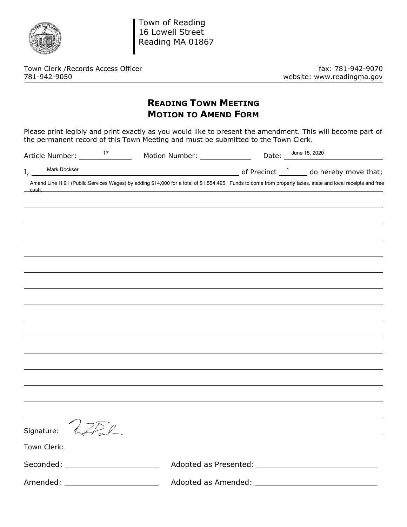

Town of Reading 16 Lowell Street Reading MA 01867

Town Clerk /Records Access Officer<br>781-942-9070 mebsite: www.readingma.gov

website: www.readingma.gov

## **READING TOWN MEETING MOTION TO AMEND FORM**

Please print legibly and print exactly as you would like to present the amendment. This will become part of the permanent record of this Town Meeting and must be submitted to the Town Clerk.

|       | Article Number: _____              | 17 | Motion Number: ______________ | Date: June 15, 2020                                                                                                                                         |
|-------|------------------------------------|----|-------------------------------|-------------------------------------------------------------------------------------------------------------------------------------------------------------|
| I,    | Mark Dockser                       |    |                               | $\frac{1}{2}$ of Precinct $\frac{1}{2}$ do hereby move that;                                                                                                |
| cash. |                                    |    |                               | Amend Line H 91 (Public Services Wages) by adding \$14,000 for a total of \$1,554,425. Funds to come from property taxes, state and local receipts and free |
|       |                                    |    |                               |                                                                                                                                                             |
|       |                                    |    |                               |                                                                                                                                                             |
|       |                                    |    |                               |                                                                                                                                                             |
|       |                                    |    |                               |                                                                                                                                                             |
|       |                                    |    |                               |                                                                                                                                                             |
|       |                                    |    |                               |                                                                                                                                                             |
|       |                                    |    |                               |                                                                                                                                                             |
|       |                                    |    |                               |                                                                                                                                                             |
|       |                                    |    |                               |                                                                                                                                                             |
|       |                                    |    |                               |                                                                                                                                                             |
|       |                                    |    |                               |                                                                                                                                                             |
|       |                                    |    |                               |                                                                                                                                                             |
|       |                                    |    |                               |                                                                                                                                                             |
|       |                                    |    |                               |                                                                                                                                                             |
|       |                                    |    |                               |                                                                                                                                                             |
|       | Signature: __                      |    |                               |                                                                                                                                                             |
|       | Town Clerk:                        |    |                               |                                                                                                                                                             |
|       |                                    |    |                               |                                                                                                                                                             |
|       | Amended: _________________________ |    |                               |                                                                                                                                                             |